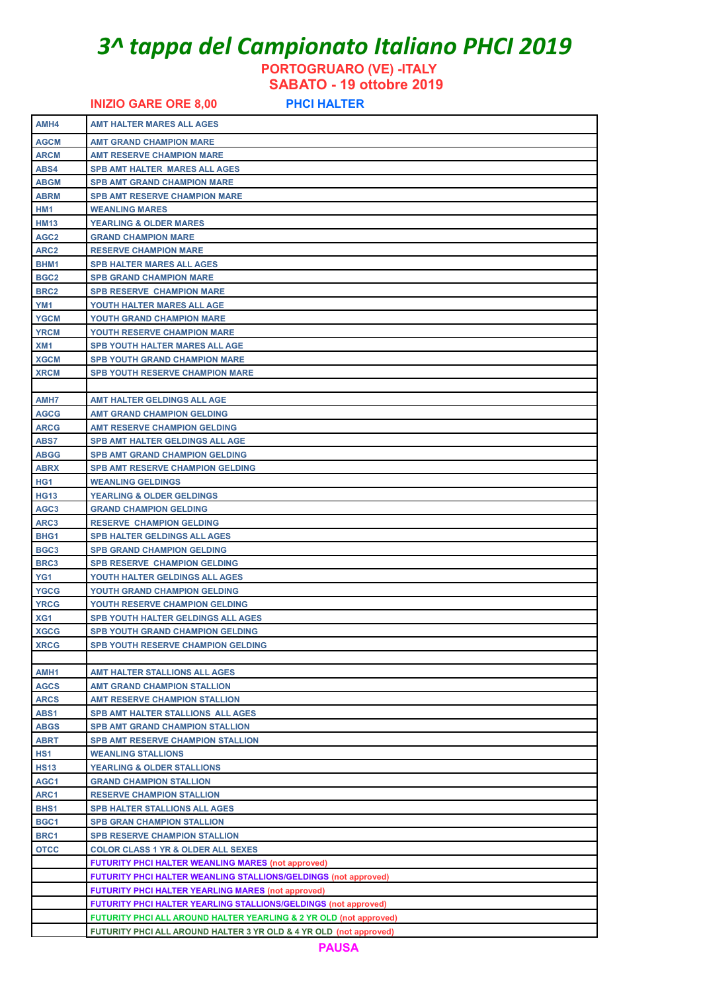# *3^ tappa del Campionato Italiano PHCI 2019*

**PORTOGRUARO (VE) -ITALY** 

 **SABATO - 19 ottobre 2019**

**INIZIO GARE ORE 8,00 PHCI HALTER AMH4 AMT HALTER MARES ALL AGES AGCM AMT GRAND CHAMPION MARE ARCM AMT RESERVE CHAMPION MARE ABS4 SPB AMT HALTER MARES ALL AGES ABGM SPB AMT GRAND CHAMPION MARE ABRM SPB AMT RESERVE CHAMPION MARE HM1 WEANLING MARES HM13 YEARLING & OLDER MARES AGC2 GRAND CHAMPION MARE ARC2 RESERVE CHAMPION MARE BHM1 SPB HALTER MARES ALL AGES BGC2 SPB GRAND CHAMPION MARE BRC2 SPB RESERVE CHAMPION MARE YM1 YOUTH HALTER MARES ALL AGE YGCM YOUTH GRAND CHAMPION MARE** YRCM **YOUTH RESERVE CHAMPION MARE XM1 SPB YOUTH HALTER MARES ALL AGE XGCM SPB YOUTH GRAND CHAMPION MARE XRCM SPB YOUTH RESERVE CHAMPION MARE AMH7 AMT HALTER GELDINGS ALL AGE AGCG AMT GRAND CHAMPION GELDING ARCG AMT RESERVE CHAMPION GELDING ABS7 SPB AMT HALTER GELDINGS ALL AGE ABGG SPB AMT GRAND CHAMPION GELDING ABRX SPB AMT RESERVE CHAMPION GELDING HG1 WEANLING GELDINGS HG13 YEARLING & OLDER GELDINGS AGC3 GRAND CHAMPION GELDING ARC3 RESERVE CHAMPION GELDING BHG1 SPB HALTER GELDINGS ALL AGES BGC3 SPB GRAND CHAMPION GELDING BRC3 SPB RESERVE CHAMPION GELDING YG1 YOUTH HALTER GELDINGS ALL AGES YGCG YOUTH GRAND CHAMPION GELDING YRCG YOUTH RESERVE CHAMPION GELDING XG1 SPB YOUTH HALTER GELDINGS ALL AGES XGCG SPB YOUTH GRAND CHAMPION GELDING XRCG SPB YOUTH RESERVE CHAMPION GELDING AMH1 AMT HALTER STALLIONS ALL AGES AGCS AMT GRAND CHAMPION STALLION ARCS AMT RESERVE CHAMPION STALLION ABS1 SPB AMT HALTER STALLIONS ALL ABGS SPB AMT GRAND CHAMPION STALLION ABRT SPB AMT RESERVE CHAMPION STALLION HS1 WEANLING STALLIONS HS13 YEARLING & OLDER STALLIONS AGC1 GRAND CHAMPION STALLION ARC1 RESERVE CHAMPION STALLION BHS1 SPB HALTER STALLIONS ALL AGES BGC1 SPB GRAN CHAMPION STALLION BRC1 SPB RESERVE CHAMPION STALLION OTCC COLOR CLASS 1 YR & OLDER ALL SEXES FUTURITY PHCI HALTER WEANLING MARES (not approved) FUTURITY PHCI HALTER WEANLING STALLIONS/GELDINGS (not approved) FUTURITY PHCI HALTER YEARLING MARES (not approved) FUTURITY PHCI HALTER YEARLING STALLIONS/GELDINGS (not approved) FUTURITY PHCI ALL AROUND HALTER YEARLING & 2 YR OLD (not approved) FUTURITY PHCI ALL AROUND HALTER 3 YR OLD & 4 YR OLD (not approved)**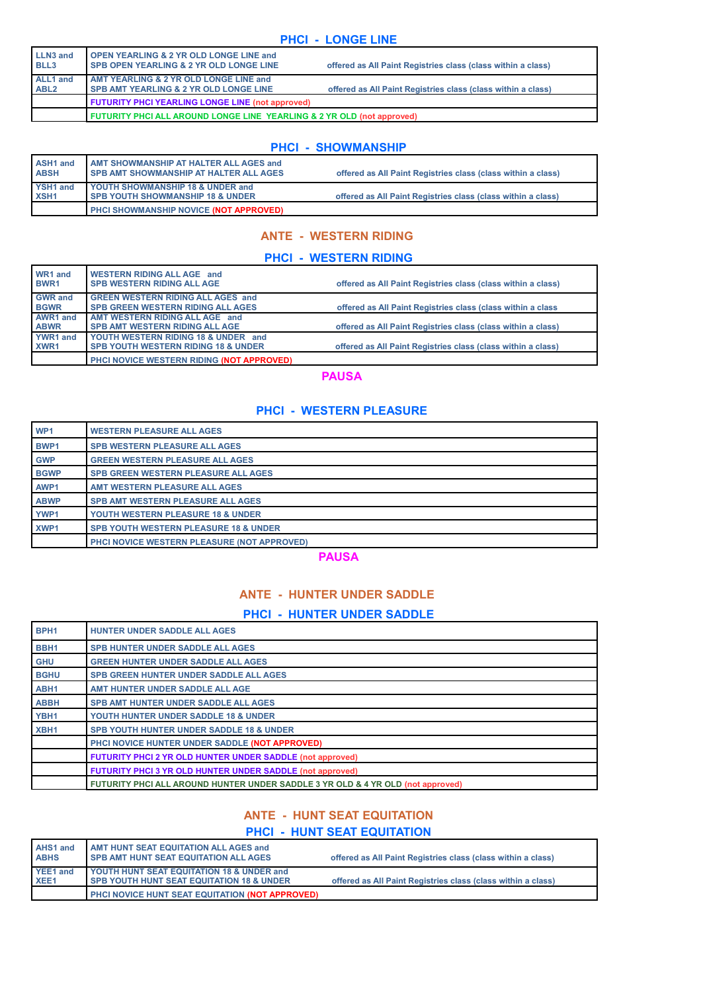## **PHCI - LONGE LINE**

| <b>LLN3 and</b><br>BLL3      | <b>OPEN YEARLING &amp; 2 YR OLD LONGE LINE and</b><br>SPB OPEN YEARLING & 2 YR OLD LONGE LINE | offered as All Paint Registries class (class within a class) |
|------------------------------|-----------------------------------------------------------------------------------------------|--------------------------------------------------------------|
| ALL1 and<br>ABL <sub>2</sub> | AMT YEARLING & 2 YR OLD LONGE LINE and<br><b>SPB AMT YEARLING &amp; 2 YR OLD LONGE LINE</b>   | offered as All Paint Registries class (class within a class) |
|                              | <b>FUTURITY PHCI YEARLING LONGE LINE (not approved)</b>                                       |                                                              |
|                              | FUTURITY PHCI ALL AROUND LONGE LINE YEARLING & 2 YR OLD (not approved)                        |                                                              |

#### **PHCI - SHOWMANSHIP**

| <b>ASH1</b> and<br><b>ABSH</b> | <b>AMT SHOWMANSHIP AT HALTER ALL AGES and</b><br>I SPB AMT SHOWMANSHIP AT HALTER ALL AGES | offered as All Paint Registries class (class within a class) |
|--------------------------------|-------------------------------------------------------------------------------------------|--------------------------------------------------------------|
| YSH1 and                       | <b>YOUTH SHOWMANSHIP 18 &amp; UNDER and</b>                                               |                                                              |
| XSH <sub>1</sub>               | I SPB YOUTH SHOWMANSHIP 18 & UNDER                                                        | offered as All Paint Registries class (class within a class) |
|                                | PHCI SHOWMANSHIP NOVICE (NOT APPROVED)                                                    |                                                              |

# **ANTE - WESTERN RIDING**

#### **PHCI - WESTERN RIDING**

| WR1 and<br>BWR1  | WESTERN RIDING ALL AGE and<br><b>SPB WESTERN RIDING ALL AGE</b> | offered as All Paint Registries class (class within a class) |
|------------------|-----------------------------------------------------------------|--------------------------------------------------------------|
| <b>GWR</b> and   | <b>GREEN WESTERN RIDING ALL AGES and</b>                        |                                                              |
| <b>BGWR</b>      | <b>SPB GREEN WESTERN RIDING ALL AGES</b>                        | offered as All Paint Registries class (class within a class  |
| AWR1 and         | AMT WESTERN RIDING ALL AGE and                                  |                                                              |
| <b>ABWR</b>      | <b>SPB AMT WESTERN RIDING ALL AGE</b>                           | offered as All Paint Registries class (class within a class) |
| YWR1 and         | YOUTH WESTERN RIDING 18 & UNDER and                             |                                                              |
| XWR <sub>1</sub> | <b>SPB YOUTH WESTERN RIDING 18 &amp; UNDER</b>                  | offered as All Paint Registries class (class within a class) |
|                  | PHCI NOVICE WESTERN RIDING (NOT APPROVED)                       |                                                              |

### **PAUSA**

# **PHCI - WESTERN PLEASURE**

| WP <sub>1</sub>  | <b>WESTERN PLEASURE ALL AGES</b>                   |  |
|------------------|----------------------------------------------------|--|
| <b>BWP1</b>      | <b>SPB WESTERN PLEASURE ALL AGES</b>               |  |
| <b>GWP</b>       | <b>GREEN WESTERN PLEASURE ALL AGES</b>             |  |
| <b>BGWP</b>      | <b>SPB GREEN WESTERN PLEASURE ALL AGES</b>         |  |
| AWP1             | AMT WESTERN PLEASURE ALL AGES                      |  |
| <b>ABWP</b>      | <b>SPB AMT WESTERN PLEASURE ALL AGES</b>           |  |
| YWP1             | <b>YOUTH WESTERN PLEASURE 18 &amp; UNDER</b>       |  |
| XWP <sub>1</sub> | <b>SPB YOUTH WESTERN PLEASURE 18 &amp; UNDER</b>   |  |
|                  | <b>PHCI NOVICE WESTERN PLEASURE (NOT APPROVED)</b> |  |

**PAUSA**

# **ANTE - HUNTER UNDER SADDLE**

# **PHCI - HUNTER UNDER SADDLE**

| BPH <sub>1</sub> | <b>HUNTER UNDER SADDLE ALL AGES</b>                                             |  |
|------------------|---------------------------------------------------------------------------------|--|
| BBH <sub>1</sub> | <b>SPB HUNTER UNDER SADDLE ALL AGES</b>                                         |  |
| <b>GHU</b>       | <b>GREEN HUNTER UNDER SADDLE ALL AGES</b>                                       |  |
| <b>BGHU</b>      | <b>SPB GREEN HUNTER UNDER SADDLE ALL AGES</b>                                   |  |
| ABH <sub>1</sub> | AMT HUNTER UNDER SADDLE ALL AGE                                                 |  |
| <b>ABBH</b>      | <b>SPB AMT HUNTER UNDER SADDLE ALL AGES</b>                                     |  |
| YBH <sub>1</sub> | YOUTH HUNTER UNDER SADDLE 18 & UNDER                                            |  |
| XBH <sub>1</sub> | <b>SPB YOUTH HUNTER UNDER SADDLE 18 &amp; UNDER</b>                             |  |
|                  | PHCI NOVICE HUNTER UNDER SADDLE (NOT APPROVED)                                  |  |
|                  | <b>FUTURITY PHCI 2 YR OLD HUNTER UNDER SADDLE (not approved)</b>                |  |
|                  | <b>FUTURITY PHCI 3 YR OLD HUNTER UNDER SADDLE (not approved)</b>                |  |
|                  | FUTURITY PHCI ALL AROUND HUNTER UNDER SADDLE 3 YR OLD & 4 YR OLD (not approved) |  |

# **ANTE - HUNT SEAT EQUITATION**

# **PHCI - HUNT SEAT EQUITATION**

| <b>AHS1 and</b><br><b>ABHS</b> | <b>AMT HUNT SEAT EQUITATION ALL AGES and</b><br><b>I SPB AMT HUNT SEAT EQUITATION ALL AGES</b> | offered as All Paint Registries class (class within a class) |
|--------------------------------|------------------------------------------------------------------------------------------------|--------------------------------------------------------------|
| YEE1 and                       | YOUTH HUNT SEAT EQUITATION 18 & UNDER and                                                      |                                                              |
| XEE <sub>1</sub>               | <b>SPB YOUTH HUNT SEAT EQUITATION 18 &amp; UNDER</b>                                           | offered as All Paint Registries class (class within a class) |
|                                | PHCI NOVICE HUNT SEAT EQUITATION (NOT APPROVED)                                                |                                                              |